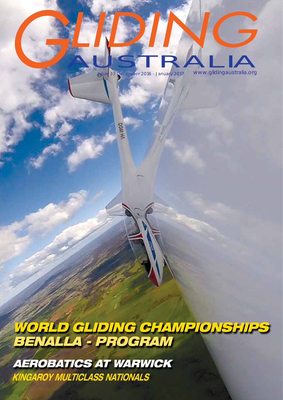# Issue 33 December 2016 - January 2017 www.glidingaustralia.org **GLIDIN** AUSTRALIA *G*

**DOM'N** 

*WORLD GLIDING CHAMPIONSHIPS BENALLA - PROGRAM*

 *KINGAROY MULTICLASS NATIONALS AEROBATICS AT WARWICK*